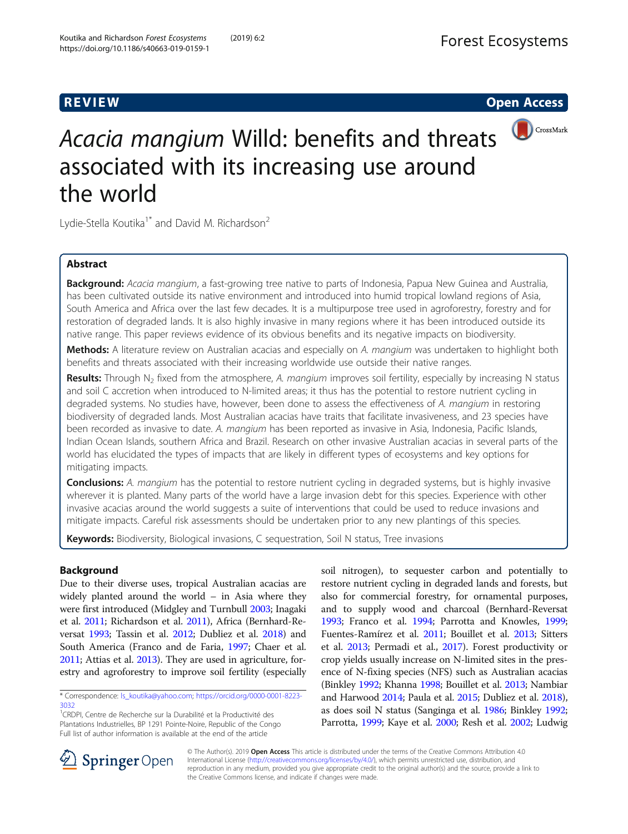# **REVIEW CONSTRUCTION CONSTRUCTION CONSTRUCTS**



# Acacia mangium Willd: benefits and threats associated with its increasing use around the world

Lydie-Stella Koutika<sup>1\*</sup> and David M. Richardson<sup>2</sup>

# Abstract

Background: Acacia mangium, a fast-growing tree native to parts of Indonesia, Papua New Guinea and Australia, has been cultivated outside its native environment and introduced into humid tropical lowland regions of Asia, South America and Africa over the last few decades. It is a multipurpose tree used in agroforestry, forestry and for restoration of degraded lands. It is also highly invasive in many regions where it has been introduced outside its native range. This paper reviews evidence of its obvious benefits and its negative impacts on biodiversity.

Methods: A literature review on Australian acacias and especially on A. mangium was undertaken to highlight both benefits and threats associated with their increasing worldwide use outside their native ranges.

Results: Through  $N_2$  fixed from the atmosphere, A. mangium improves soil fertility, especially by increasing N status and soil C accretion when introduced to N-limited areas; it thus has the potential to restore nutrient cycling in degraded systems. No studies have, however, been done to assess the effectiveness of A. mangium in restoring biodiversity of degraded lands. Most Australian acacias have traits that facilitate invasiveness, and 23 species have been recorded as invasive to date. A. mangium has been reported as invasive in Asia, Indonesia, Pacific Islands, Indian Ocean Islands, southern Africa and Brazil. Research on other invasive Australian acacias in several parts of the world has elucidated the types of impacts that are likely in different types of ecosystems and key options for mitigating impacts.

Conclusions: A. mangium has the potential to restore nutrient cycling in degraded systems, but is highly invasive wherever it is planted. Many parts of the world have a large invasion debt for this species. Experience with other invasive acacias around the world suggests a suite of interventions that could be used to reduce invasions and mitigate impacts. Careful risk assessments should be undertaken prior to any new plantings of this species.

Keywords: Biodiversity, Biological invasions, C sequestration, Soil N status, Tree invasions

# Background

Due to their diverse uses, tropical Australian acacias are widely planted around the world – in Asia where they were first introduced (Midgley and Turnbull [2003;](#page-10-0) Inagaki et al. [2011](#page-10-0); Richardson et al. [2011](#page-11-0)), Africa (Bernhard-Reversat [1993;](#page-9-0) Tassin et al. [2012](#page-11-0); Dubliez et al. [2018](#page-9-0)) and South America (Franco and de Faria, [1997](#page-10-0); Chaer et al. [2011;](#page-9-0) Attias et al. [2013\)](#page-9-0). They are used in agriculture, forestry and agroforestry to improve soil fertility (especially

<sup>1</sup>CRDPI, Centre de Recherche sur la Durabilité et la Productivité des Plantations Industrielles, BP 1291 Pointe-Noire, Republic of the Congo Full list of author information is available at the end of the article

soil nitrogen), to sequester carbon and potentially to restore nutrient cycling in degraded lands and forests, but also for commercial forestry, for ornamental purposes, and to supply wood and charcoal (Bernhard-Reversat [1993;](#page-9-0) Franco et al. [1994](#page-10-0); Parrotta and Knowles, [1999](#page-11-0); Fuentes-Ramírez et al. [2011](#page-10-0); Bouillet et al. [2013;](#page-9-0) Sitters et al. [2013;](#page-11-0) Permadi et al., [2017\)](#page-11-0). Forest productivity or crop yields usually increase on N-limited sites in the presence of N-fixing species (NFS) such as Australian acacias (Binkley [1992;](#page-9-0) Khanna [1998;](#page-10-0) Bouillet et al. [2013](#page-9-0); Nambiar and Harwood [2014;](#page-10-0) Paula et al. [2015](#page-11-0); Dubliez et al. [2018](#page-9-0)), as does soil N status (Sanginga et al. [1986](#page-11-0); Binkley [1992](#page-9-0); Parrotta, [1999](#page-11-0); Kaye et al. [2000;](#page-10-0) Resh et al. [2002](#page-11-0); Ludwig



© The Author(s). 2019 Open Access This article is distributed under the terms of the Creative Commons Attribution 4.0 International License ([http://creativecommons.org/licenses/by/4.0/\)](http://creativecommons.org/licenses/by/4.0/), which permits unrestricted use, distribution, and reproduction in any medium, provided you give appropriate credit to the original author(s) and the source, provide a link to the Creative Commons license, and indicate if changes were made.

<sup>\*</sup> Correspondence: [ls\\_koutika@yahoo.com;](mailto:ls_koutika@yahoo.com) [https://orcid.org/0000-0001-8223-](https://orcid.org/0000-0001-8223-3032) [3032](https://orcid.org/0000-0001-8223-3032)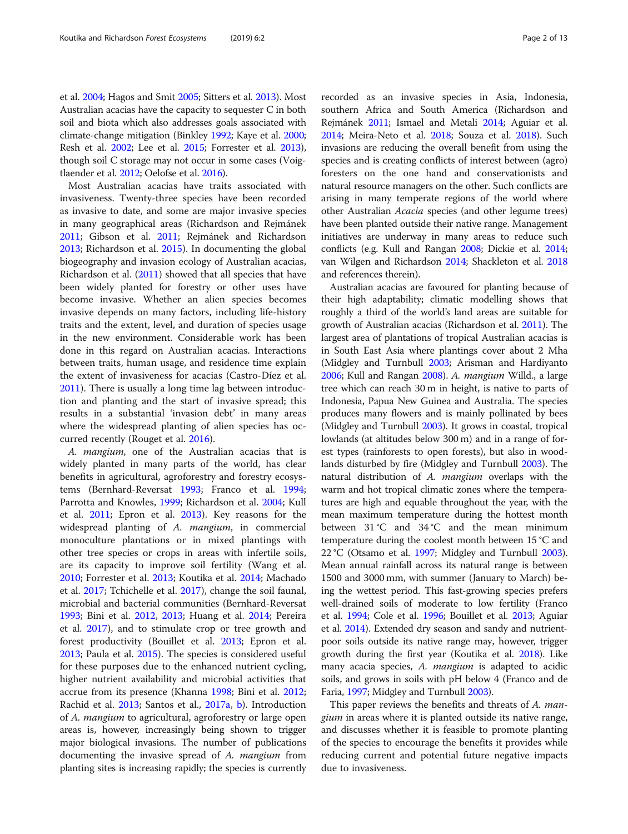et al. [2004;](#page-10-0) Hagos and Smit [2005](#page-10-0); Sitters et al. [2013\)](#page-11-0). Most Australian acacias have the capacity to sequester C in both soil and biota which also addresses goals associated with climate-change mitigation (Binkley [1992](#page-9-0); Kaye et al. [2000](#page-10-0); Resh et al. [2002;](#page-11-0) Lee et al. [2015;](#page-10-0) Forrester et al. [2013](#page-10-0)), though soil C storage may not occur in some cases (Voigtlaender et al. [2012;](#page-11-0) Oelofse et al. [2016\)](#page-11-0).

Most Australian acacias have traits associated with invasiveness. Twenty-three species have been recorded as invasive to date, and some are major invasive species in many geographical areas (Richardson and Rejmánek [2011](#page-11-0); Gibson et al. [2011;](#page-10-0) Rejmánek and Richardson [2013](#page-11-0); Richardson et al. [2015](#page-11-0)). In documenting the global biogeography and invasion ecology of Australian acacias, Richardson et al. [\(2011\)](#page-11-0) showed that all species that have been widely planted for forestry or other uses have become invasive. Whether an alien species becomes invasive depends on many factors, including life-history traits and the extent, level, and duration of species usage in the new environment. Considerable work has been done in this regard on Australian acacias. Interactions between traits, human usage, and residence time explain the extent of invasiveness for acacias (Castro-Díez et al. [2011](#page-9-0)). There is usually a long time lag between introduction and planting and the start of invasive spread; this results in a substantial 'invasion debt' in many areas where the widespread planting of alien species has occurred recently (Rouget et al. [2016\)](#page-11-0).

A. mangium, one of the Australian acacias that is widely planted in many parts of the world, has clear benefits in agricultural, agroforestry and forestry ecosystems (Bernhard-Reversat [1993;](#page-9-0) Franco et al. [1994](#page-10-0); Parrotta and Knowles, [1999](#page-11-0); Richardson et al. [2004](#page-11-0); Kull et al. [2011;](#page-10-0) Epron et al. [2013](#page-9-0)). Key reasons for the widespread planting of A. mangium, in commercial monoculture plantations or in mixed plantings with other tree species or crops in areas with infertile soils, are its capacity to improve soil fertility (Wang et al. [2010](#page-12-0); Forrester et al. [2013](#page-10-0); Koutika et al. [2014](#page-10-0); Machado et al. [2017;](#page-10-0) Tchichelle et al. [2017\)](#page-11-0), change the soil faunal, microbial and bacterial communities (Bernhard-Reversat [1993](#page-9-0); Bini et al. [2012,](#page-9-0) [2013](#page-9-0); Huang et al. [2014;](#page-10-0) Pereira et al. [2017\)](#page-11-0), and to stimulate crop or tree growth and forest productivity (Bouillet et al. [2013](#page-9-0); Epron et al. [2013](#page-9-0); Paula et al. [2015\)](#page-11-0). The species is considered useful for these purposes due to the enhanced nutrient cycling, higher nutrient availability and microbial activities that accrue from its presence (Khanna [1998;](#page-10-0) Bini et al. [2012](#page-9-0); Rachid et al. [2013](#page-11-0); Santos et al., [2017a,](#page-11-0) [b\)](#page-11-0). Introduction of A. mangium to agricultural, agroforestry or large open areas is, however, increasingly being shown to trigger major biological invasions. The number of publications documenting the invasive spread of A. mangium from planting sites is increasing rapidly; the species is currently

recorded as an invasive species in Asia, Indonesia, southern Africa and South America (Richardson and Rejmánek [2011;](#page-11-0) Ismael and Metali [2014](#page-10-0); Aguiar et al. [2014;](#page-9-0) Meira-Neto et al. [2018;](#page-10-0) Souza et al. [2018\)](#page-11-0). Such invasions are reducing the overall benefit from using the species and is creating conflicts of interest between (agro) foresters on the one hand and conservationists and natural resource managers on the other. Such conflicts are arising in many temperate regions of the world where other Australian Acacia species (and other legume trees) have been planted outside their native range. Management initiatives are underway in many areas to reduce such conflicts (e.g. Kull and Rangan [2008](#page-10-0); Dickie et al. [2014](#page-9-0); van Wilgen and Richardson [2014;](#page-11-0) Shackleton et al. [2018](#page-11-0) and references therein).

Australian acacias are favoured for planting because of their high adaptability; climatic modelling shows that roughly a third of the world's land areas are suitable for growth of Australian acacias (Richardson et al. [2011](#page-11-0)). The largest area of plantations of tropical Australian acacias is in South East Asia where plantings cover about 2 Mha (Midgley and Turnbull [2003](#page-10-0); Arisman and Hardiyanto [2006;](#page-9-0) Kull and Rangan [2008\)](#page-10-0). A. mangium Willd., a large tree which can reach 30 m in height, is native to parts of Indonesia, Papua New Guinea and Australia. The species produces many flowers and is mainly pollinated by bees (Midgley and Turnbull [2003\)](#page-10-0). It grows in coastal, tropical lowlands (at altitudes below 300 m) and in a range of forest types (rainforests to open forests), but also in woodlands disturbed by fire (Midgley and Turnbull [2003](#page-10-0)). The natural distribution of A. mangium overlaps with the warm and hot tropical climatic zones where the temperatures are high and equable throughout the year, with the mean maximum temperature during the hottest month between 31 °C and 34 °C and the mean minimum temperature during the coolest month between 15 °C and 22 °C (Otsamo et al. [1997;](#page-11-0) Midgley and Turnbull [2003](#page-10-0)). Mean annual rainfall across its natural range is between 1500 and 3000 mm, with summer (January to March) being the wettest period. This fast-growing species prefers well-drained soils of moderate to low fertility (Franco et al. [1994](#page-10-0); Cole et al. [1996;](#page-9-0) Bouillet et al. [2013](#page-9-0); Aguiar et al. [2014\)](#page-9-0). Extended dry season and sandy and nutrientpoor soils outside its native range may, however, trigger growth during the first year (Koutika et al. [2018\)](#page-10-0). Like many acacia species, A. mangium is adapted to acidic soils, and grows in soils with pH below 4 (Franco and de Faria, [1997](#page-10-0); Midgley and Turnbull [2003](#page-10-0)).

This paper reviews the benefits and threats of A. *man*gium in areas where it is planted outside its native range, and discusses whether it is feasible to promote planting of the species to encourage the benefits it provides while reducing current and potential future negative impacts due to invasiveness.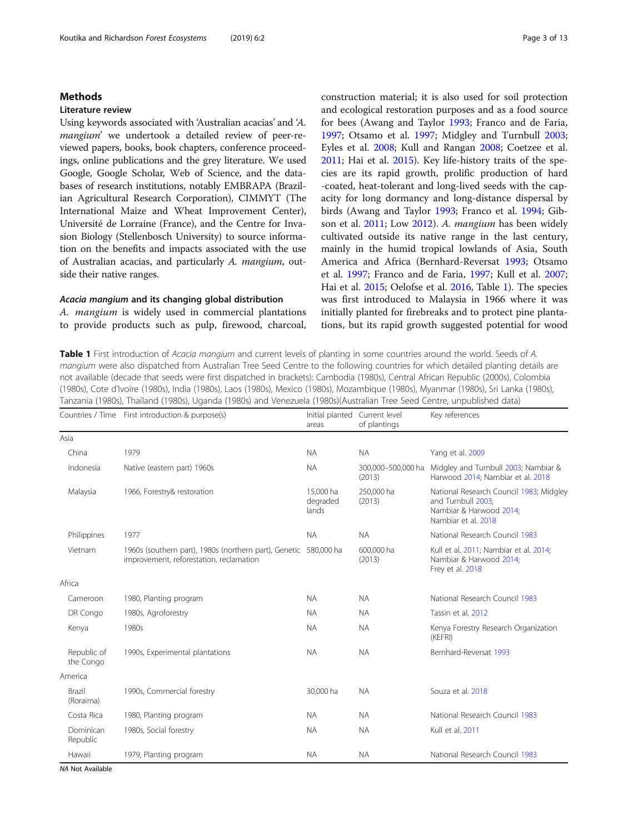# <span id="page-2-0"></span>Methods

# Literature review

Using keywords associated with 'Australian acacias' and 'A. mangium' we undertook a detailed review of peer-reviewed papers, books, book chapters, conference proceedings, online publications and the grey literature. We used Google, Google Scholar, Web of Science, and the databases of research institutions, notably EMBRAPA (Brazilian Agricultural Research Corporation), CIMMYT (The International Maize and Wheat Improvement Center), Université de Lorraine (France), and the Centre for Invasion Biology (Stellenbosch University) to source information on the benefits and impacts associated with the use of Australian acacias, and particularly A. mangium, outside their native ranges.

# Acacia mangium and its changing global distribution

A. mangium is widely used in commercial plantations to provide products such as pulp, firewood, charcoal, construction material; it is also used for soil protection and ecological restoration purposes and as a food source for bees (Awang and Taylor [1993;](#page-9-0) Franco and de Faria, [1997](#page-10-0); Otsamo et al. [1997;](#page-11-0) Midgley and Turnbull [2003](#page-10-0); Eyles et al. [2008](#page-9-0); Kull and Rangan [2008;](#page-10-0) Coetzee et al. [2011](#page-9-0); Hai et al. [2015](#page-10-0)). Key life-history traits of the species are its rapid growth, prolific production of hard -coated, heat-tolerant and long-lived seeds with the capacity for long dormancy and long-distance dispersal by birds (Awang and Taylor [1993](#page-9-0); Franco et al. [1994](#page-10-0); Gibson et al. [2011;](#page-10-0) Low [2012\)](#page-10-0). A. mangium has been widely cultivated outside its native range in the last century, mainly in the humid tropical lowlands of Asia, South America and Africa (Bernhard-Reversat [1993;](#page-9-0) Otsamo et al. [1997;](#page-11-0) Franco and de Faria, [1997](#page-10-0); Kull et al. [2007](#page-10-0); Hai et al. [2015](#page-10-0); Oelofse et al. [2016](#page-11-0), Table 1). The species was first introduced to Malaysia in 1966 where it was initially planted for firebreaks and to protect pine plantations, but its rapid growth suggested potential for wood

Table 1 First introduction of Acacia mangium and current levels of planting in some countries around the world. Seeds of A. mangium were also dispatched from Australian Tree Seed Centre to the following countries for which detailed planting details are not available (decade that seeds were first dispatched in brackets): Cambodia (1980s), Central African Republic (2000s), Colombia (1980s), Cote d'Ivoire (1980s), India (1980s), Laos (1980s), Mexico (1980s), Mozambique (1980s), Myanmar (1980s), Sri Lanka (1980s), Tanzania (1980s), Thailand (1980s), Uganda (1980s) and Venezuela (1980s)(Australian Tree Seed Centre, unpublished data)

|                            | Countries / Time First introduction & purpose(s)                                                            | Initial planted Current level<br>areas | of plantings                 | Key references                                                                                                  |
|----------------------------|-------------------------------------------------------------------------------------------------------------|----------------------------------------|------------------------------|-----------------------------------------------------------------------------------------------------------------|
| Asia                       |                                                                                                             |                                        |                              |                                                                                                                 |
| China                      | 1979                                                                                                        | <b>NA</b>                              | <b>NA</b>                    | Yang et al. 2009                                                                                                |
| Indonesia                  | Native (eastern part) 1960s                                                                                 | <b>NA</b>                              | 300,000-500,000 ha<br>(2013) | Midgley and Turnbull 2003; Nambiar &<br>Harwood 2014; Nambiar et al. 2018                                       |
| Malaysia                   | 1966, Forestry& restoration                                                                                 | 15.000 ha<br>degraded<br>lands         | 250,000 ha<br>(2013)         | National Research Council 1983; Midgley<br>and Turnbull 2003:<br>Nambiar & Harwood 2014;<br>Nambiar et al. 2018 |
| Philippines                | 1977                                                                                                        | <b>NA</b>                              | <b>NA</b>                    | National Research Council 1983                                                                                  |
| Vietnam                    | 1960s (southern part), 1980s (northern part), Genetic 580,000 ha<br>improvement, reforestation, reclamation |                                        | 600.000 ha<br>(2013)         | Kull et al. 2011; Nambiar et al. 2014;<br>Nambiar & Harwood 2014;<br>Frey et al. 2018                           |
| Africa                     |                                                                                                             |                                        |                              |                                                                                                                 |
| Cameroon                   | 1980, Planting program                                                                                      | <b>NA</b>                              | <b>NA</b>                    | National Research Council 1983                                                                                  |
| DR Congo                   | 1980s, Agroforestry                                                                                         | <b>NA</b>                              | <b>NA</b>                    | Tassin et al. 2012                                                                                              |
| Kenya                      | 1980s                                                                                                       | <b>NA</b>                              | <b>NA</b>                    | Kenya Forestry Research Organization<br>(KEFRI)                                                                 |
| Republic of<br>the Congo   | 1990s, Experimental plantations                                                                             | <b>NA</b>                              | <b>NA</b>                    | Bernhard-Reversat 1993                                                                                          |
| America                    |                                                                                                             |                                        |                              |                                                                                                                 |
| <b>Brazil</b><br>(Roraima) | 1990s, Commercial forestry                                                                                  | 30,000 ha                              | <b>NA</b>                    | Souza et al. 2018                                                                                               |
| Costa Rica                 | 1980, Planting program                                                                                      | <b>NA</b>                              | <b>NA</b>                    | National Research Council 1983                                                                                  |
| Dominican<br>Republic      | 1980s, Social forestry                                                                                      | <b>NA</b>                              | <b>NA</b>                    | Kull et al. 2011                                                                                                |
| Hawaii                     | 1979, Planting program                                                                                      | <b>NA</b>                              | <b>NA</b>                    | National Research Council 1983                                                                                  |

NA Not Available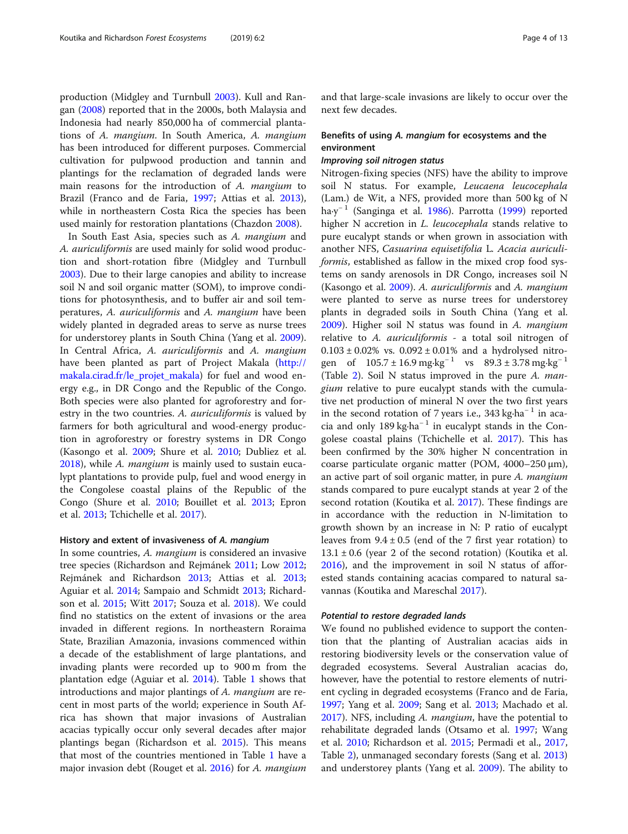production (Midgley and Turnbull [2003](#page-10-0)). Kull and Rangan [\(2008\)](#page-10-0) reported that in the 2000s, both Malaysia and Indonesia had nearly 850,000 ha of commercial plantations of A. mangium. In South America, A. mangium has been introduced for different purposes. Commercial cultivation for pulpwood production and tannin and plantings for the reclamation of degraded lands were main reasons for the introduction of A. mangium to Brazil (Franco and de Faria, [1997;](#page-10-0) Attias et al. [2013](#page-9-0)), while in northeastern Costa Rica the species has been used mainly for restoration plantations (Chazdon [2008](#page-9-0)).

In South East Asia, species such as A. mangium and A. auriculiformis are used mainly for solid wood production and short-rotation fibre (Midgley and Turnbull [2003](#page-10-0)). Due to their large canopies and ability to increase soil N and soil organic matter (SOM), to improve conditions for photosynthesis, and to buffer air and soil temperatures, A. auriculiformis and A. mangium have been widely planted in degraded areas to serve as nurse trees for understorey plants in South China (Yang et al. [2009](#page-12-0)). In Central Africa, A. auriculiformis and A. mangium have been planted as part of Project Makala [\(http://](http://makala.cirad.fr/le_projet_makala) [makala.cirad.fr/le\\_projet\\_makala](http://makala.cirad.fr/le_projet_makala)) for fuel and wood energy e.g., in DR Congo and the Republic of the Congo. Both species were also planted for agroforestry and forestry in the two countries. A. auriculiformis is valued by farmers for both agricultural and wood-energy production in agroforestry or forestry systems in DR Congo (Kasongo et al. [2009](#page-10-0); Shure et al. [2010](#page-11-0); Dubliez et al. [2018](#page-9-0)), while A. mangium is mainly used to sustain eucalypt plantations to provide pulp, fuel and wood energy in the Congolese coastal plains of the Republic of the Congo (Shure et al. [2010;](#page-11-0) Bouillet et al. [2013](#page-9-0); Epron et al. [2013;](#page-9-0) Tchichelle et al. [2017\)](#page-11-0).

# History and extent of invasiveness of A. mangium

In some countries, A. mangium is considered an invasive tree species (Richardson and Rejmánek [2011](#page-11-0); Low [2012](#page-10-0); Rejmánek and Richardson [2013](#page-11-0); Attias et al. [2013](#page-9-0); Aguiar et al. [2014;](#page-9-0) Sampaio and Schmidt [2013;](#page-11-0) Richardson et al. [2015;](#page-11-0) Witt [2017;](#page-12-0) Souza et al. [2018](#page-11-0)). We could find no statistics on the extent of invasions or the area invaded in different regions. In northeastern Roraima State, Brazilian Amazonia, invasions commenced within a decade of the establishment of large plantations, and invading plants were recorded up to 900 m from the plantation edge (Aguiar et al. [2014](#page-9-0)). Table [1](#page-2-0) shows that introductions and major plantings of A. *mangium* are recent in most parts of the world; experience in South Africa has shown that major invasions of Australian acacias typically occur only several decades after major plantings began (Richardson et al. [2015](#page-11-0)). This means that most of the countries mentioned in Table [1](#page-2-0) have a major invasion debt (Rouget et al. [2016\)](#page-11-0) for A. *mangium*  and that large-scale invasions are likely to occur over the next few decades.

# Benefits of using A. mangium for ecosystems and the environment

# Improving soil nitrogen status

Nitrogen-fixing species (NFS) have the ability to improve soil N status. For example, Leucaena leucocephala (Lam.) de Wit, a NFS, provided more than 500 kg of N ha·y<sup>−</sup> <sup>1</sup> (Sanginga et al. [1986](#page-11-0)). Parrotta [\(1999\)](#page-11-0) reported higher N accretion in *L. leucocephala* stands relative to pure eucalypt stands or when grown in association with another NFS, Casuarina equisetifolia L. Acacia auriculiformis, established as fallow in the mixed crop food systems on sandy arenosols in DR Congo, increases soil N (Kasongo et al. [2009\)](#page-10-0). A. auriculiformis and A. mangium were planted to serve as nurse trees for understorey plants in degraded soils in South China (Yang et al. [2009](#page-12-0)). Higher soil N status was found in A. mangium relative to A. auriculiformis - a total soil nitrogen of  $0.103 \pm 0.02\%$  vs.  $0.092 \pm 0.01\%$  and a hydrolysed nitrogen of  $105.7 \pm 16.9$  mg·kg<sup>-1</sup> vs  $89.3 \pm 3.78$  mg·kg<sup>-1</sup> (Table [2](#page-4-0)). Soil N status improved in the pure A. man*gium* relative to pure eucalypt stands with the cumulative net production of mineral N over the two first years in the second rotation of 7 years i.e., 343 kg⋅ha<sup>-1</sup> in acacia and only 189 kg⋅ha<sup>-1</sup> in eucalypt stands in the Congolese coastal plains (Tchichelle et al. [2017\)](#page-11-0). This has been confirmed by the 30% higher N concentration in coarse particulate organic matter (POM, 4000–250 μm), an active part of soil organic matter, in pure A. mangium stands compared to pure eucalypt stands at year 2 of the second rotation (Koutika et al. [2017\)](#page-10-0). These findings are in accordance with the reduction in N-limitation to growth shown by an increase in N: P ratio of eucalypt leaves from  $9.4 \pm 0.5$  (end of the 7 first year rotation) to  $13.1 \pm 0.6$  (year 2 of the second rotation) (Koutika et al. [2016](#page-10-0)), and the improvement in soil N status of afforested stands containing acacias compared to natural savannas (Koutika and Mareschal [2017](#page-10-0)).

# Potential to restore degraded lands

We found no published evidence to support the contention that the planting of Australian acacias aids in restoring biodiversity levels or the conservation value of degraded ecosystems. Several Australian acacias do, however, have the potential to restore elements of nutrient cycling in degraded ecosystems (Franco and de Faria, [1997](#page-10-0); Yang et al. [2009;](#page-12-0) Sang et al. [2013;](#page-11-0) Machado et al. [2017](#page-10-0)). NFS, including A. mangium, have the potential to rehabilitate degraded lands (Otsamo et al. [1997;](#page-11-0) Wang et al. [2010](#page-12-0); Richardson et al. [2015](#page-11-0); Permadi et al., [2017](#page-11-0), Table [2\)](#page-4-0), unmanaged secondary forests (Sang et al. [2013](#page-11-0)) and understorey plants (Yang et al. [2009\)](#page-12-0). The ability to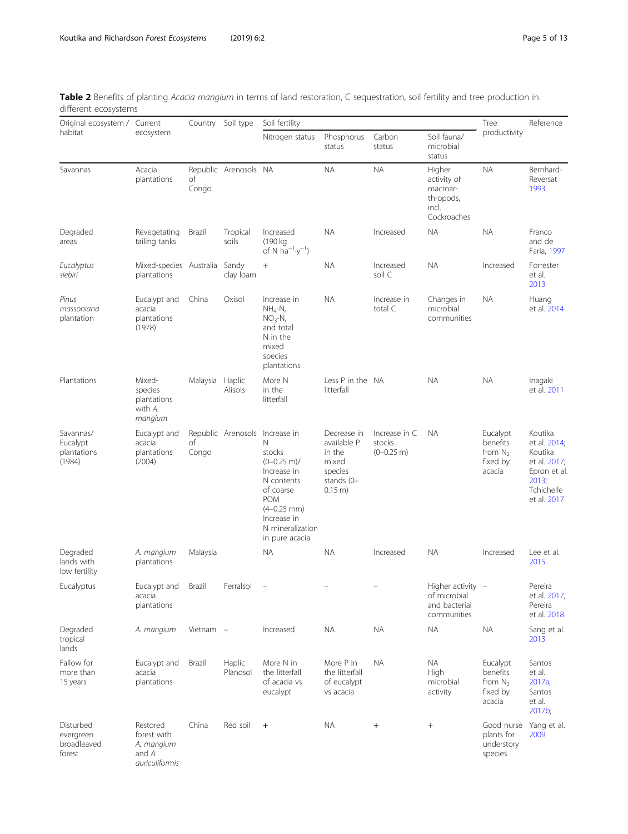<span id="page-4-0"></span>

| Table 2 Benefits of planting Acacia mangium in terms of land restoration, C sequestration, soil fertility and tree production in |  |  |  |
|----------------------------------------------------------------------------------------------------------------------------------|--|--|--|
| different ecosystems                                                                                                             |  |  |  |

| Original ecosystem /<br>habitat                 | Current<br>ecosystem                                              | Country     | Soil type             | Soil fertility                                                                                                                                                                                          |                                                                                                |                                                 |                                                                        | Tree                                                     | Reference                                                                                               |
|-------------------------------------------------|-------------------------------------------------------------------|-------------|-----------------------|---------------------------------------------------------------------------------------------------------------------------------------------------------------------------------------------------------|------------------------------------------------------------------------------------------------|-------------------------------------------------|------------------------------------------------------------------------|----------------------------------------------------------|---------------------------------------------------------------------------------------------------------|
|                                                 |                                                                   |             |                       | Nitrogen status                                                                                                                                                                                         | Phosphorus<br>status                                                                           | Carbon<br>status                                | Soil fauna/<br>microbial<br>status                                     | productivity                                             |                                                                                                         |
| Savannas                                        | Acacia<br>plantations                                             | of<br>Congo | Republic Arenosols NA |                                                                                                                                                                                                         | <b>NA</b>                                                                                      | <b>NA</b>                                       | Higher<br>activity of<br>macroar-<br>thropods,<br>incl.<br>Cockroaches | <b>NA</b>                                                | Bernhard-<br>Reversat<br>1993                                                                           |
| Degraded<br>areas                               | Revegetating<br>tailing tanks                                     | Brazil      | Tropical<br>soils     | Increased<br>(190 kg)<br>of N ha <sup>-1</sup> $\cdot$ y <sup>-1</sup> )                                                                                                                                | ΝA                                                                                             | Increased                                       | <b>NA</b>                                                              | <b>NA</b>                                                | Franco<br>and de<br>Faria, 1997                                                                         |
| Eucalyptus<br>siebiri                           | Mixed-species Australia<br>plantations                            |             | Sandy<br>clay loam    |                                                                                                                                                                                                         | ΝA                                                                                             | Increased<br>soil C                             | ΝA                                                                     | Increased                                                | Forrester<br>et al.<br>2013                                                                             |
| Pinus<br>massoniana<br>plantation               | Eucalypt and<br>acacia<br>plantations<br>(1978)                   | China       | Oxisol                | Increase in<br>$NH4-N,$<br>$NO3-N$<br>and total<br>N in the<br>mixed<br>species<br>plantations                                                                                                          | <b>NA</b>                                                                                      | Increase in<br>total C                          | Changes in<br>microbial<br>communities                                 | <b>NA</b>                                                | Huang<br>et al. 2014                                                                                    |
| Plantations                                     | Mixed-<br>species<br>plantations<br>with A.<br>mangium            | Malaysia    | Haplic<br>Alisols     | More N<br>in the<br>litterfall                                                                                                                                                                          | Less P in the NA<br>litterfall                                                                 |                                                 | <b>NA</b>                                                              | <b>NA</b>                                                | Inagaki<br>et al. 2011                                                                                  |
| Savannas/<br>Eucalypt<br>plantations<br>(1984)  | Eucalypt and<br>acacia<br>plantations<br>(2004)                   | οf<br>Congo |                       | Republic Arenosols Increase in<br>N<br>stocks<br>$(0-0.25 \text{ m})/$<br>Increase in<br>N contents<br>of coarse<br><b>POM</b><br>$(4-0.25$ mm $)$<br>Increase in<br>N mineralization<br>in pure acacia | Decrease in<br>available P<br>in the<br>mixed<br>species<br>stands $(0-$<br>$0.15 \text{ m}$ ) | Increase in C<br>stocks<br>$(0-0.25 \text{ m})$ | <b>NA</b>                                                              | Eucalypt<br>benefits<br>from $N_2$<br>fixed by<br>acacia | Koutika<br>et al. 2014;<br>Koutika<br>et al. 2017;<br>Epron et al<br>2013;<br>Tchichelle<br>et al. 2017 |
| Degraded<br>lands with<br>low fertility         | A. mangium<br>plantations                                         | Malaysia    |                       | ΝA                                                                                                                                                                                                      | ΝA                                                                                             | Increased                                       | <b>NA</b>                                                              | Increased                                                | Lee et al.<br>2015                                                                                      |
| Eucalyptus                                      | Eucalypt and<br>acacia<br>plantations                             | Brazil      | Ferralsol             |                                                                                                                                                                                                         |                                                                                                |                                                 | Higher activity -<br>of microbial<br>and bacterial<br>communities      |                                                          | Pereira<br>et al. 2017,<br>Pereira<br>et al. 2018                                                       |
| Degraded<br>tropical<br>lands                   | A. mangium                                                        | Vietnam –   |                       | Increased                                                                                                                                                                                               | <b>NA</b>                                                                                      | <b>NA</b>                                       | ΝA                                                                     | <b>NA</b>                                                | Sang et al.<br>2013                                                                                     |
| Fallow for<br>more than<br>15 years             | Eucalypt and<br>acacia<br>plantations                             | Brazil      | Haplic<br>Planosol    | More N in<br>the litterfall<br>of acacia vs<br>eucalypt                                                                                                                                                 | More P in<br>the litterfall<br>of eucalypt<br>vs acacia                                        | NА                                              | ΝA<br>High<br>microbial<br>activity                                    | Eucalypt<br>benefits<br>from $N_2$<br>fixed by<br>acacia | Santos<br>et al.<br>$2017a$ ;<br>Santos<br>et al.<br>2017b;                                             |
| Disturbed<br>evergreen<br>broadleaved<br>forest | Restored<br>forest with<br>A. mangium<br>and A.<br>auriculiformis | China       | Red soil              | $\ddot{}$                                                                                                                                                                                               | ΝA                                                                                             | $\ddot{}$                                       | $^{+}$                                                                 | Good nurse<br>plants for<br>understory<br>species        | Yang et al.<br>2009                                                                                     |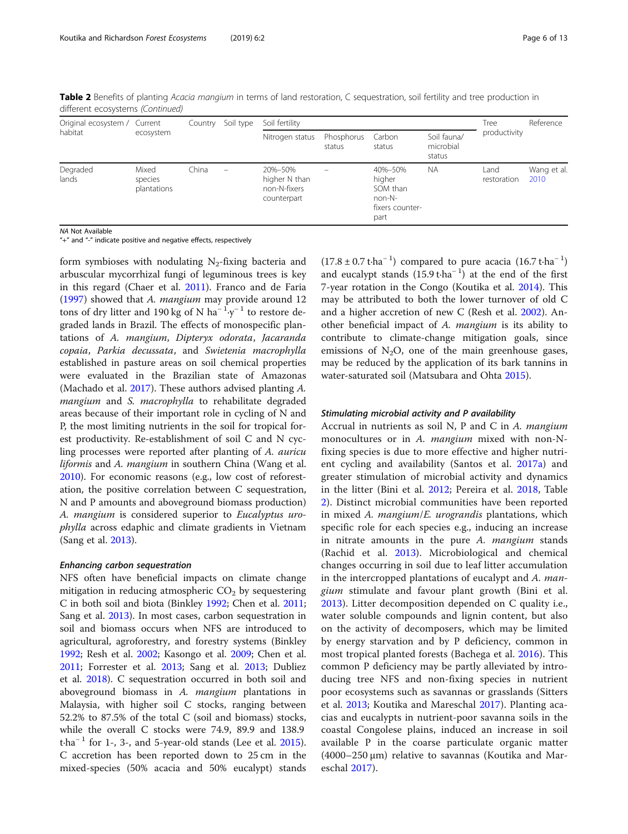Table 2 Benefits of planting Acacia mangium in terms of land restoration, C sequestration, soil fertility and tree production in different ecosystems (Continued)

| Original ecosystem / Current<br>habitat | ecosystem                       | Country | Soil type                | Soil fertility                                          |                      |                                                                    |                                    | Tree                | Reference           |
|-----------------------------------------|---------------------------------|---------|--------------------------|---------------------------------------------------------|----------------------|--------------------------------------------------------------------|------------------------------------|---------------------|---------------------|
|                                         |                                 |         |                          | Nitrogen status                                         | Phosphorus<br>status | Carbon<br>status                                                   | Soil fauna/<br>microbial<br>status | productivity        |                     |
| Degraded<br>lands                       | Mixed<br>species<br>plantations | China   | $\overline{\phantom{m}}$ | 20%-50%<br>higher N than<br>non-N-fixers<br>counterpart |                      | 40%-50%<br>higher<br>SOM than<br>non-N-<br>fixers counter-<br>part | <b>NA</b>                          | Land<br>restoration | Wang et al.<br>2010 |

NA Not Available

"+" and "-" indicate positive and negative effects, respectively

form symbioses with nodulating  $N_2$ -fixing bacteria and arbuscular mycorrhizal fungi of leguminous trees is key in this regard (Chaer et al. [2011](#page-9-0)). Franco and de Faria ([1997](#page-10-0)) showed that A. mangium may provide around 12 tons of dry litter and 190 kg of N ha<sup>-1</sup>·y<sup>-1</sup> to restore degraded lands in Brazil. The effects of monospecific plantations of A. mangium, Dipteryx odorata, Jacaranda copaia, Parkia decussata, and Swietenia macrophylla established in pasture areas on soil chemical properties were evaluated in the Brazilian state of Amazonas (Machado et al. [2017](#page-10-0)). These authors advised planting A. mangium and S. macrophylla to rehabilitate degraded areas because of their important role in cycling of N and P, the most limiting nutrients in the soil for tropical forest productivity. Re-establishment of soil C and N cycling processes were reported after planting of A. auricu liformis and A. mangium in southern China (Wang et al. [2010](#page-12-0)). For economic reasons (e.g., low cost of reforestation, the positive correlation between C sequestration, N and P amounts and aboveground biomass production) A. mangium is considered superior to Eucalyptus urophylla across edaphic and climate gradients in Vietnam (Sang et al. [2013](#page-11-0)).

# Enhancing carbon sequestration

NFS often have beneficial impacts on climate change mitigation in reducing atmospheric  $CO<sub>2</sub>$  by sequestering C in both soil and biota (Binkley [1992](#page-9-0); Chen et al. [2011](#page-9-0); Sang et al. [2013\)](#page-11-0). In most cases, carbon sequestration in soil and biomass occurs when NFS are introduced to agricultural, agroforestry, and forestry systems (Binkley [1992](#page-9-0); Resh et al. [2002;](#page-11-0) Kasongo et al. [2009;](#page-10-0) Chen et al. [2011](#page-9-0); Forrester et al. [2013;](#page-10-0) Sang et al. [2013;](#page-11-0) Dubliez et al. [2018\)](#page-9-0). C sequestration occurred in both soil and aboveground biomass in A. *mangium* plantations in Malaysia, with higher soil C stocks, ranging between 52.2% to 87.5% of the total C (soil and biomass) stocks, while the overall C stocks were 74.9, 89.9 and 138.9 t⋅ha<sup>-1</sup> for 1-, 3-, and 5-year-old stands (Lee et al. [2015](#page-10-0)). C accretion has been reported down to 25 cm in the mixed-species (50% acacia and 50% eucalypt) stands

 $(17.8 \pm 0.7 \text{ t} \cdot \text{ha}^{-1})$  compared to pure acacia  $(16.7 \text{ t} \cdot \text{ha}^{-1})$ and eucalypt stands  $(15.9 t \cdot ha^{-1})$  at the end of the first 7-year rotation in the Congo (Koutika et al. [2014](#page-10-0)). This may be attributed to both the lower turnover of old C and a higher accretion of new C (Resh et al. [2002\)](#page-11-0). Another beneficial impact of A. mangium is its ability to contribute to climate-change mitigation goals, since emissions of  $N_2O$ , one of the main greenhouse gases, may be reduced by the application of its bark tannins in water-saturated soil (Matsubara and Ohta [2015\)](#page-10-0).

# Stimulating microbial activity and P availability

Accrual in nutrients as soil N, P and C in A. mangium monocultures or in A. *mangium* mixed with non-Nfixing species is due to more effective and higher nutrient cycling and availability (Santos et al. [2017a\)](#page-11-0) and greater stimulation of microbial activity and dynamics in the litter (Bini et al. [2012](#page-9-0); Pereira et al. [2018,](#page-11-0) Table [2\)](#page-4-0). Distinct microbial communities have been reported in mixed A. mangium/E. urograndis plantations, which specific role for each species e.g., inducing an increase in nitrate amounts in the pure A. mangium stands (Rachid et al. [2013\)](#page-11-0). Microbiological and chemical changes occurring in soil due to leaf litter accumulation in the intercropped plantations of eucalypt and A. mangium stimulate and favour plant growth (Bini et al. [2013\)](#page-9-0). Litter decomposition depended on C quality i.e., water soluble compounds and lignin content, but also on the activity of decomposers, which may be limited by energy starvation and by P deficiency, common in most tropical planted forests (Bachega et al. [2016\)](#page-9-0). This common P deficiency may be partly alleviated by introducing tree NFS and non-fixing species in nutrient poor ecosystems such as savannas or grasslands (Sitters et al. [2013](#page-11-0); Koutika and Mareschal [2017\)](#page-10-0). Planting acacias and eucalypts in nutrient-poor savanna soils in the coastal Congolese plains, induced an increase in soil available P in the coarse particulate organic matter (4000–250 μm) relative to savannas (Koutika and Mareschal [2017](#page-10-0)).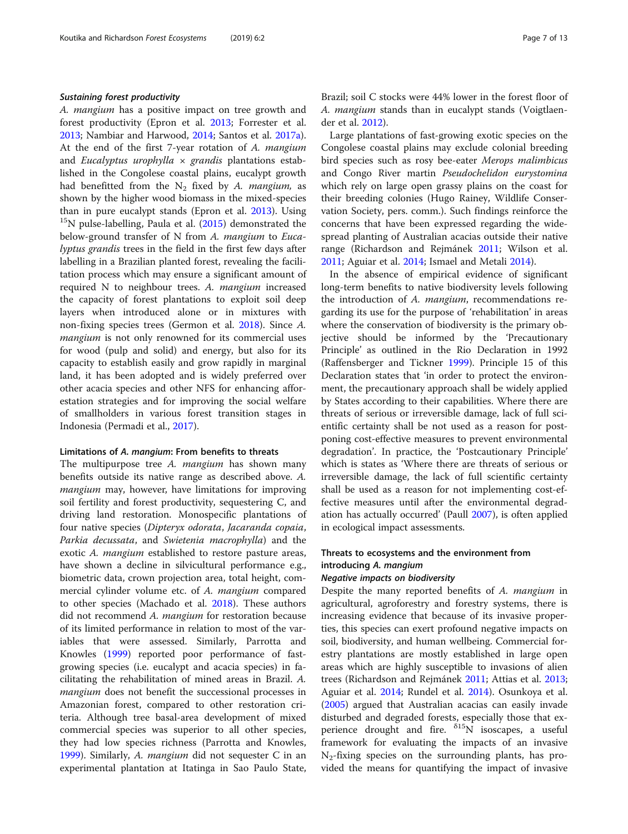# Sustaining forest productivity

A. mangium has a positive impact on tree growth and forest productivity (Epron et al. [2013](#page-9-0); Forrester et al. [2013](#page-10-0); Nambiar and Harwood, [2014](#page-10-0); Santos et al. [2017a](#page-11-0)). At the end of the first 7-year rotation of A. mangium and *Eucalyptus urophylla*  $\times$  *grandis* plantations established in the Congolese coastal plains, eucalypt growth had benefitted from the  $N_2$  fixed by A. mangium, as shown by the higher wood biomass in the mixed-species than in pure eucalypt stands (Epron et al. [2013\)](#page-9-0). Using <sup>15</sup>N pulse-labelling, Paula et al. ([2015\)](#page-11-0) demonstrated the below-ground transfer of N from A. mangium to Eucalyptus grandis trees in the field in the first few days after labelling in a Brazilian planted forest, revealing the facilitation process which may ensure a significant amount of required N to neighbour trees. A. mangium increased the capacity of forest plantations to exploit soil deep layers when introduced alone or in mixtures with non-fixing species trees (Germon et al. [2018](#page-10-0)). Since A. mangium is not only renowned for its commercial uses for wood (pulp and solid) and energy, but also for its capacity to establish easily and grow rapidly in marginal land, it has been adopted and is widely preferred over other acacia species and other NFS for enhancing afforestation strategies and for improving the social welfare of smallholders in various forest transition stages in Indonesia (Permadi et al., [2017\)](#page-11-0).

# Limitations of A. mangium: From benefits to threats

The multipurpose tree A. *mangium* has shown many benefits outside its native range as described above. A. mangium may, however, have limitations for improving soil fertility and forest productivity, sequestering C, and driving land restoration. Monospecific plantations of four native species (Dipteryx odorata, Jacaranda copaia, Parkia decussata, and Swietenia macrophylla) and the exotic A. mangium established to restore pasture areas, have shown a decline in silvicultural performance e.g., biometric data, crown projection area, total height, commercial cylinder volume etc. of A. mangium compared to other species (Machado et al. [2018\)](#page-10-0). These authors did not recommend A. mangium for restoration because of its limited performance in relation to most of the variables that were assessed. Similarly, Parrotta and Knowles [\(1999](#page-11-0)) reported poor performance of fastgrowing species (i.e. eucalypt and acacia species) in facilitating the rehabilitation of mined areas in Brazil. A. *mangium* does not benefit the successional processes in Amazonian forest, compared to other restoration criteria. Although tree basal-area development of mixed commercial species was superior to all other species, they had low species richness (Parrotta and Knowles, [1999](#page-11-0)). Similarly, A. *mangium* did not sequester C in an experimental plantation at Itatinga in Sao Paulo State, Brazil; soil C stocks were 44% lower in the forest floor of A. mangium stands than in eucalypt stands (Voigtlaender et al. [2012](#page-11-0)).

Large plantations of fast-growing exotic species on the Congolese coastal plains may exclude colonial breeding bird species such as rosy bee-eater Merops malimbicus and Congo River martin Pseudochelidon eurystomina which rely on large open grassy plains on the coast for their breeding colonies (Hugo Rainey, Wildlife Conservation Society, pers. comm.). Such findings reinforce the concerns that have been expressed regarding the widespread planting of Australian acacias outside their native range (Richardson and Rejmánek [2011;](#page-11-0) Wilson et al. [2011](#page-12-0); Aguiar et al. [2014](#page-9-0); Ismael and Metali [2014](#page-10-0)).

In the absence of empirical evidence of significant long-term benefits to native biodiversity levels following the introduction of A. mangium, recommendations regarding its use for the purpose of 'rehabilitation' in areas where the conservation of biodiversity is the primary objective should be informed by the 'Precautionary Principle' as outlined in the Rio Declaration in 1992 (Raffensberger and Tickner [1999\)](#page-11-0). Principle 15 of this Declaration states that 'in order to protect the environment, the precautionary approach shall be widely applied by States according to their capabilities. Where there are threats of serious or irreversible damage, lack of full scientific certainty shall be not used as a reason for postponing cost-effective measures to prevent environmental degradation'. In practice, the 'Postcautionary Principle' which is states as 'Where there are threats of serious or irreversible damage, the lack of full scientific certainty shall be used as a reason for not implementing cost-effective measures until after the environmental degradation has actually occurred' (Paull [2007](#page-11-0)), is often applied in ecological impact assessments.

# Threats to ecosystems and the environment from introducing A. mangium

# Negative impacts on biodiversity

Despite the many reported benefits of A. mangium in agricultural, agroforestry and forestry systems, there is increasing evidence that because of its invasive properties, this species can exert profound negative impacts on soil, biodiversity, and human wellbeing. Commercial forestry plantations are mostly established in large open areas which are highly susceptible to invasions of alien trees (Richardson and Rejmánek [2011;](#page-11-0) Attias et al. [2013](#page-9-0); Aguiar et al. [2014;](#page-9-0) Rundel et al. [2014\)](#page-11-0). Osunkoya et al. ([2005\)](#page-11-0) argued that Australian acacias can easily invade disturbed and degraded forests, especially those that experience drought and fire.  ${}^{815}N$  isoscapes, a useful framework for evaluating the impacts of an invasive  $N_2$ -fixing species on the surrounding plants, has provided the means for quantifying the impact of invasive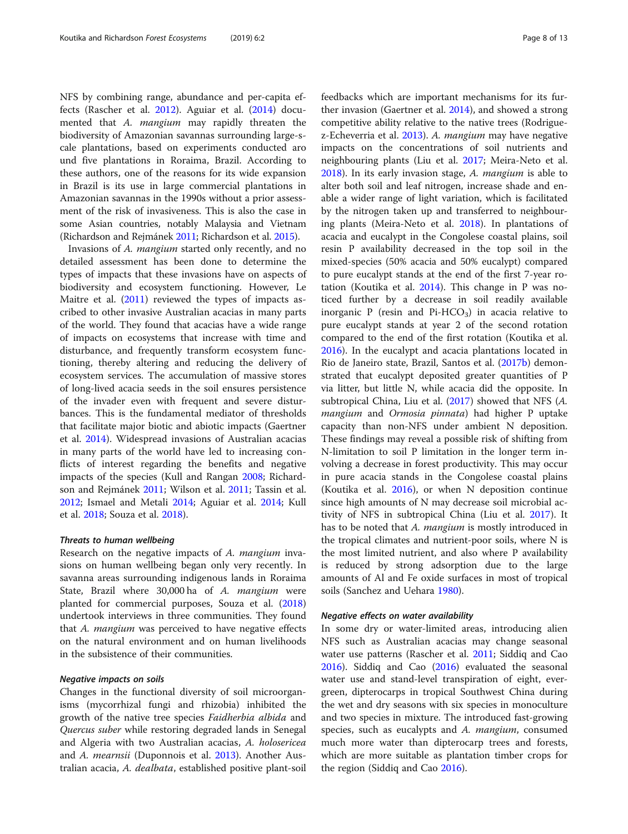NFS by combining range, abundance and per-capita effects (Rascher et al. [2012\)](#page-11-0). Aguiar et al. [\(2014\)](#page-9-0) documented that A. mangium may rapidly threaten the biodiversity of Amazonian savannas surrounding large-scale plantations, based on experiments conducted aro und five plantations in Roraima, Brazil. According to these authors, one of the reasons for its wide expansion in Brazil is its use in large commercial plantations in Amazonian savannas in the 1990s without a prior assessment of the risk of invasiveness. This is also the case in some Asian countries, notably Malaysia and Vietnam (Richardson and Rejmánek [2011](#page-11-0); Richardson et al. [2015](#page-11-0)).

Invasions of A. mangium started only recently, and no detailed assessment has been done to determine the types of impacts that these invasions have on aspects of biodiversity and ecosystem functioning. However, Le Maitre et al. ([2011\)](#page-10-0) reviewed the types of impacts ascribed to other invasive Australian acacias in many parts of the world. They found that acacias have a wide range of impacts on ecosystems that increase with time and disturbance, and frequently transform ecosystem functioning, thereby altering and reducing the delivery of ecosystem services. The accumulation of massive stores of long-lived acacia seeds in the soil ensures persistence of the invader even with frequent and severe disturbances. This is the fundamental mediator of thresholds that facilitate major biotic and abiotic impacts (Gaertner et al. [2014\)](#page-10-0). Widespread invasions of Australian acacias in many parts of the world have led to increasing conflicts of interest regarding the benefits and negative impacts of the species (Kull and Rangan [2008;](#page-10-0) Richardson and Rejmánek [2011;](#page-11-0) Wilson et al. [2011](#page-12-0); Tassin et al. [2012](#page-11-0); Ismael and Metali [2014](#page-10-0); Aguiar et al. [2014](#page-9-0); Kull et al. [2018;](#page-10-0) Souza et al. [2018](#page-11-0)).

# Threats to human wellbeing

Research on the negative impacts of A. mangium invasions on human wellbeing began only very recently. In savanna areas surrounding indigenous lands in Roraima State, Brazil where 30,000 ha of A. mangium were planted for commercial purposes, Souza et al. ([2018](#page-11-0)) undertook interviews in three communities. They found that A. mangium was perceived to have negative effects on the natural environment and on human livelihoods in the subsistence of their communities.

# Negative impacts on soils

Changes in the functional diversity of soil microorganisms (mycorrhizal fungi and rhizobia) inhibited the growth of the native tree species Faidherbia albida and Quercus suber while restoring degraded lands in Senegal and Algeria with two Australian acacias, A. holosericea and A. mearnsii (Duponnois et al. [2013\)](#page-9-0). Another Australian acacia, A. dealbata, established positive plant-soil feedbacks which are important mechanisms for its further invasion (Gaertner et al. [2014\)](#page-10-0), and showed a strong competitive ability relative to the native trees (Rodrigue-z-Echeverria et al. [2013](#page-11-0)). A. *mangium* may have negative impacts on the concentrations of soil nutrients and neighbouring plants (Liu et al. [2017;](#page-10-0) Meira-Neto et al. [2018](#page-10-0)). In its early invasion stage, A. mangium is able to alter both soil and leaf nitrogen, increase shade and enable a wider range of light variation, which is facilitated by the nitrogen taken up and transferred to neighbouring plants (Meira-Neto et al. [2018\)](#page-10-0). In plantations of acacia and eucalypt in the Congolese coastal plains, soil resin P availability decreased in the top soil in the mixed-species (50% acacia and 50% eucalypt) compared to pure eucalypt stands at the end of the first 7-year rotation (Koutika et al. [2014\)](#page-10-0). This change in P was noticed further by a decrease in soil readily available inorganic P (resin and Pi-HCO<sub>3</sub>) in acacia relative to pure eucalypt stands at year 2 of the second rotation compared to the end of the first rotation (Koutika et al. [2016](#page-10-0)). In the eucalypt and acacia plantations located in Rio de Janeiro state, Brazil, Santos et al. ([2017b](#page-11-0)) demonstrated that eucalypt deposited greater quantities of P via litter, but little N, while acacia did the opposite. In subtropical China, Liu et al. [\(2017](#page-10-0)) showed that NFS (A. mangium and Ormosia pinnata) had higher P uptake capacity than non-NFS under ambient N deposition. These findings may reveal a possible risk of shifting from N-limitation to soil P limitation in the longer term involving a decrease in forest productivity. This may occur in pure acacia stands in the Congolese coastal plains (Koutika et al. [2016](#page-10-0)), or when N deposition continue since high amounts of N may decrease soil microbial activity of NFS in subtropical China (Liu et al. [2017](#page-10-0)). It has to be noted that A. mangium is mostly introduced in the tropical climates and nutrient-poor soils, where N is the most limited nutrient, and also where P availability is reduced by strong adsorption due to the large amounts of Al and Fe oxide surfaces in most of tropical soils (Sanchez and Uehara [1980\)](#page-11-0).

#### Negative effects on water availability

In some dry or water-limited areas, introducing alien NFS such as Australian acacias may change seasonal water use patterns (Rascher et al. [2011](#page-11-0); Siddiq and Cao [2016](#page-11-0)). Siddiq and Cao [\(2016\)](#page-11-0) evaluated the seasonal water use and stand-level transpiration of eight, evergreen, dipterocarps in tropical Southwest China during the wet and dry seasons with six species in monoculture and two species in mixture. The introduced fast-growing species, such as eucalypts and A. mangium, consumed much more water than dipterocarp trees and forests, which are more suitable as plantation timber crops for the region (Siddiq and Cao [2016\)](#page-11-0).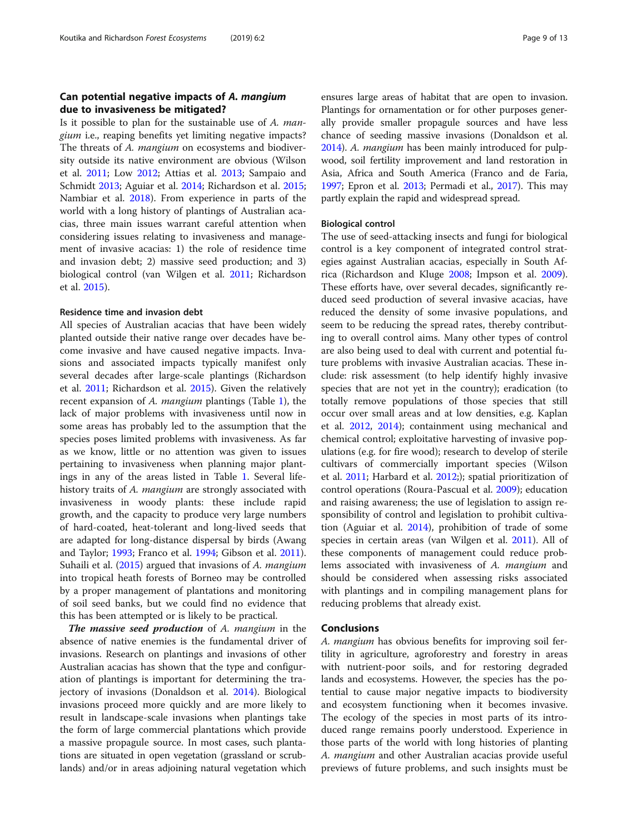# Can potential negative impacts of A. mangium due to invasiveness be mitigated?

Is it possible to plan for the sustainable use of A. mangium i.e., reaping benefits yet limiting negative impacts? The threats of A. mangium on ecosystems and biodiversity outside its native environment are obvious (Wilson et al. [2011;](#page-12-0) Low [2012;](#page-10-0) Attias et al. [2013;](#page-9-0) Sampaio and Schmidt [2013](#page-11-0); Aguiar et al. [2014;](#page-9-0) Richardson et al. [2015](#page-11-0); Nambiar et al. [2018\)](#page-10-0). From experience in parts of the world with a long history of plantings of Australian acacias, three main issues warrant careful attention when considering issues relating to invasiveness and management of invasive acacias: 1) the role of residence time and invasion debt; 2) massive seed production; and 3) biological control (van Wilgen et al. [2011;](#page-11-0) Richardson et al. [2015\)](#page-11-0).

# Residence time and invasion debt

All species of Australian acacias that have been widely planted outside their native range over decades have become invasive and have caused negative impacts. Invasions and associated impacts typically manifest only several decades after large-scale plantings (Richardson et al. [2011;](#page-11-0) Richardson et al. [2015](#page-11-0)). Given the relatively recent expansion of A. mangium plantings (Table [1](#page-2-0)), the lack of major problems with invasiveness until now in some areas has probably led to the assumption that the species poses limited problems with invasiveness. As far as we know, little or no attention was given to issues pertaining to invasiveness when planning major plantings in any of the areas listed in Table [1](#page-2-0). Several lifehistory traits of A. mangium are strongly associated with invasiveness in woody plants: these include rapid growth, and the capacity to produce very large numbers of hard-coated, heat-tolerant and long-lived seeds that are adapted for long-distance dispersal by birds (Awang and Taylor; [1993;](#page-9-0) Franco et al. [1994;](#page-10-0) Gibson et al. [2011](#page-10-0)). Suhaili et al. [\(2015\)](#page-11-0) argued that invasions of A. *mangium* into tropical heath forests of Borneo may be controlled by a proper management of plantations and monitoring of soil seed banks, but we could find no evidence that this has been attempted or is likely to be practical.

**The massive seed production** of A. mangium in the absence of native enemies is the fundamental driver of invasions. Research on plantings and invasions of other Australian acacias has shown that the type and configuration of plantings is important for determining the trajectory of invasions (Donaldson et al. [2014\)](#page-9-0). Biological invasions proceed more quickly and are more likely to result in landscape-scale invasions when plantings take the form of large commercial plantations which provide a massive propagule source. In most cases, such plantations are situated in open vegetation (grassland or scrublands) and/or in areas adjoining natural vegetation which

ensures large areas of habitat that are open to invasion. Plantings for ornamentation or for other purposes generally provide smaller propagule sources and have less chance of seeding massive invasions (Donaldson et al. [2014\)](#page-9-0). A. mangium has been mainly introduced for pulpwood, soil fertility improvement and land restoration in Asia, Africa and South America (Franco and de Faria, [1997;](#page-10-0) Epron et al. [2013](#page-9-0); Permadi et al., [2017\)](#page-11-0). This may partly explain the rapid and widespread spread.

# Biological control

The use of seed-attacking insects and fungi for biological control is a key component of integrated control strategies against Australian acacias, especially in South Africa (Richardson and Kluge [2008](#page-11-0); Impson et al. [2009](#page-10-0)). These efforts have, over several decades, significantly reduced seed production of several invasive acacias, have reduced the density of some invasive populations, and seem to be reducing the spread rates, thereby contributing to overall control aims. Many other types of control are also being used to deal with current and potential future problems with invasive Australian acacias. These include: risk assessment (to help identify highly invasive species that are not yet in the country); eradication (to totally remove populations of those species that still occur over small areas and at low densities, e.g. Kaplan et al. [2012](#page-10-0), [2014](#page-10-0)); containment using mechanical and chemical control; exploitative harvesting of invasive populations (e.g. for fire wood); research to develop of sterile cultivars of commercially important species (Wilson et al. [2011;](#page-12-0) Harbard et al. [2012](#page-10-0);); spatial prioritization of control operations (Roura-Pascual et al. [2009](#page-11-0)); education and raising awareness; the use of legislation to assign responsibility of control and legislation to prohibit cultivation (Aguiar et al. [2014](#page-9-0)), prohibition of trade of some species in certain areas (van Wilgen et al. [2011](#page-11-0)). All of these components of management could reduce problems associated with invasiveness of A. mangium and should be considered when assessing risks associated with plantings and in compiling management plans for reducing problems that already exist.

# Conclusions

A. mangium has obvious benefits for improving soil fertility in agriculture, agroforestry and forestry in areas with nutrient-poor soils, and for restoring degraded lands and ecosystems. However, the species has the potential to cause major negative impacts to biodiversity and ecosystem functioning when it becomes invasive. The ecology of the species in most parts of its introduced range remains poorly understood. Experience in those parts of the world with long histories of planting A. mangium and other Australian acacias provide useful previews of future problems, and such insights must be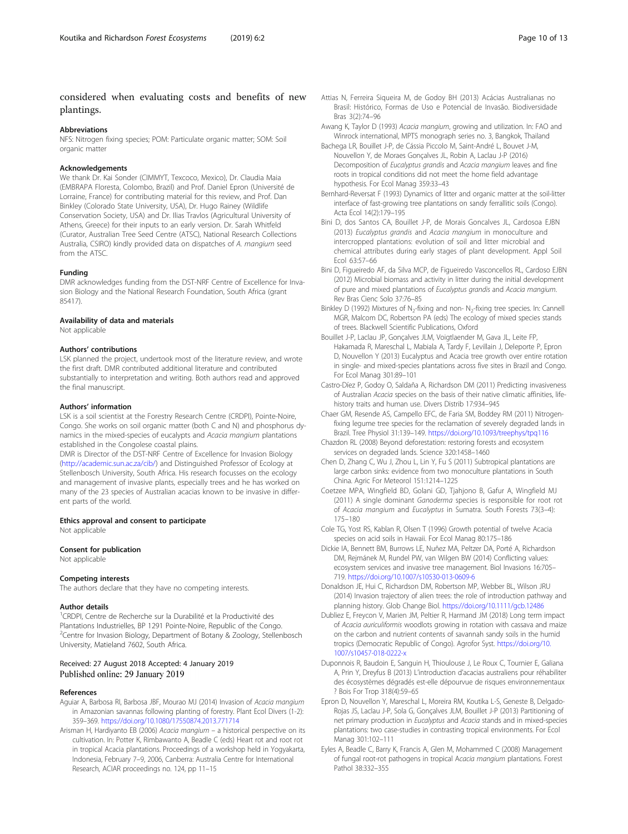# <span id="page-9-0"></span>considered when evaluating costs and benefits of new plantings.

#### Abbreviations

NFS: Nitrogen fixing species; POM: Particulate organic matter; SOM: Soil organic matter

#### Acknowledgements

We thank Dr. Kai Sonder (CIMMYT, Texcoco, Mexico), Dr. Claudia Maia (EMBRAPA Floresta, Colombo, Brazil) and Prof. Daniel Epron (Université de Lorraine, France) for contributing material for this review, and Prof. Dan Binkley (Colorado State University, USA), Dr. Hugo Rainey (Wildlife Conservation Society, USA) and Dr. Ilias Travlos (Agricultural University of Athens, Greece) for their inputs to an early version. Dr. Sarah Whitfeld (Curator, Australian Tree Seed Centre (ATSC), National Research Collections Australia, CSIRO) kindly provided data on dispatches of A. mangium seed from the ATSC.

#### Funding

DMR acknowledges funding from the DST-NRF Centre of Excellence for Invasion Biology and the National Research Foundation, South Africa (grant 85417).

# Availability of data and materials

Not applicable

# Authors' contributions

LSK planned the project, undertook most of the literature review, and wrote the first draft. DMR contributed additional literature and contributed substantially to interpretation and writing. Both authors read and approved the final manuscript.

# Authors' information

LSK is a soil scientist at the Forestry Research Centre (CRDPI), Pointe-Noire, Congo. She works on soil organic matter (both C and N) and phosphorus dynamics in the mixed-species of eucalypts and Acacia mangium plantations established in the Congolese coastal plains.

DMR is Director of the DST-NRF Centre of Excellence for Invasion Biology ([http://academic.sun.ac.za/cib/\)](http://academic.sun.ac.za/cib/) and Distinguished Professor of Ecology at Stellenbosch University, South Africa. His research focusses on the ecology and management of invasive plants, especially trees and he has worked on many of the 23 species of Australian acacias known to be invasive in different parts of the world.

# Ethics approval and consent to participate

Not applicable

# Consent for publication

Not applicable

#### Competing interests

The authors declare that they have no competing interests.

#### Author details

<sup>1</sup>CRDPI, Centre de Recherche sur la Durabilité et la Productivité des Plantations Industrielles, BP 1291 Pointe-Noire, Republic of the Congo. 2 Centre for Invasion Biology, Department of Botany & Zoology, Stellenbosch University, Matieland 7602, South Africa.

# Received: 27 August 2018 Accepted: 4 January 2019 Published online: 29 January 2019

#### References

- Aguiar A, Barbosa RI, Barbosa JBF, Mourao MJ (2014) Invasion of Acacia mangium in Amazonian savannas following planting of forestry. Plant Ecol Divers (1-2): 359–369. https://doi.org/10.1080/17550874.2013.771714
- Arisman H, Hardiyanto EB (2006) Acacia mangium a historical perspective on its cultivation. In: Potter K, Rimbawanto A, Beadle C (eds) Heart rot and root rot in tropical Acacia plantations. Proceedings of a workshop held in Yogyakarta, Indonesia, February 7–9, 2006, Canberra: Australia Centre for International Research, ACIAR proceedings no. 124, pp 11–15
- Attias N, Ferreira Siqueira M, de Godoy BH (2013) Acácias Australianas no Brasil: Histórico, Formas de Uso e Potencial de Invasão. Biodiversidade Bras 3(2):74–96
- Awang K, Taylor D (1993) Acacia mangium, growing and utilization. In: FAO and Winrock international, MPTS monograph series no. 3, Bangkok, Thailand
- Bachega LR, Bouillet J-P, de Cássia Piccolo M, Saint-André L, Bouvet J-M, Nouvellon Y, de Moraes Gonçalves JL, Robin A, Laclau J-P (2016) Decomposition of Eucalyptus grandis and Acacia mangium leaves and fine roots in tropical conditions did not meet the home field advantage hypothesis. For Ecol Manag 359:33–43
- Bernhard-Reversat F (1993) Dynamics of litter and organic matter at the soil-litter interface of fast-growing tree plantations on sandy ferrallitic soils (Congo). Acta Ecol 14(2):179–195
- Bini D, dos Santos CA, Bouillet J-P, de Morais Goncalves JL, Cardosoa EJBN (2013) Eucalyptus grandis and Acacia mangium in monoculture and intercropped plantations: evolution of soil and litter microbial and chemical attributes during early stages of plant development. Appl Soil Ecol 63:57–66
- Bini D, Figueiredo AF, da Silva MCP, de Figueiredo Vasconcellos RL, Cardoso EJBN (2012) Microbial biomass and activity in litter during the initial development of pure and mixed plantations of Eucalyptus grandis and Acacia mangium. Rev Bras Cienc Solo 37:76–85
- Binkley D (1992) Mixtures of N<sub>2</sub>-fixing and non- N<sub>2</sub>-fixing tree species. In: Cannell MGR, Malcom DC, Robertson PA (eds) The ecology of mixed species stands of trees. Blackwell Scientific Publications, Oxford
- Bouillet J-P, Laclau JP, Gonçalves JLM, Voigtlaender M, Gava JL, Leite FP, Hakamada R, Mareschal L, Mabiala A, Tardy F, Levillain J, Deleporte P, Epron D, Nouvellon Y (2013) Eucalyptus and Acacia tree growth over entire rotation in single- and mixed-species plantations across five sites in Brazil and Congo. For Ecol Manag 301:89–101
- Castro-Díez P, Godoy O, Saldaña A, Richardson DM (2011) Predicting invasiveness of Australian Acacia species on the basis of their native climatic affinities, lifehistory traits and human use. Divers Distrib 17:934–945
- Chaer GM, Resende AS, Campello EFC, de Faria SM, Boddey RM (2011) Nitrogenfixing legume tree species for the reclamation of severely degraded lands in Brazil. Tree Physiol 31:139–149. https://doi.org/10.1093/treephys/tpq116
- Chazdon RL (2008) Beyond deforestation: restoring forests and ecosystem services on degraded lands. Science 320:1458–1460
- Chen D, Zhang C, Wu J, Zhou L, Lin Y, Fu S (2011) Subtropical plantations are large carbon sinks: evidence from two monoculture plantations in South China. Agric For Meteorol 151:1214–1225
- Coetzee MPA, Wingfield BD, Golani GD, Tjahjono B, Gafur A, Wingfield MJ (2011) A single dominant Ganoderma species is responsible for root rot of Acacia mangium and Eucalyptus in Sumatra. South Forests 73(3–4): 175–180
- Cole TG, Yost RS, Kablan R, Olsen T (1996) Growth potential of twelve Acacia species on acid soils in Hawaii. For Ecol Manag 80:175–186
- Dickie IA, Bennett BM, Burrows LE, Nuñez MA, Peltzer DA, Porté A, Richardson DM, Rejmánek M, Rundel PW, van Wilgen BW (2014) Conflicting values: ecosystem services and invasive tree management. Biol Invasions 16:705– 719. https://doi.org/10.1007/s10530-013-0609-6
- Donaldson JE, Hui C, Richardson DM, Robertson MP, Webber BL, Wilson JRU (2014) Invasion trajectory of alien trees: the role of introduction pathway and planning history. Glob Change Biol. https://doi.org/10.1111/gcb.12486
- Dubliez E, Freycon V, Marien JM, Peltier R, Harmand JM (2018) Long term impact of Acacia auriculiformis woodlots growing in rotation with cassava and maize on the carbon and nutrient contents of savannah sandy soils in the humid tropics (Democratic Republic of Congo). Agrofor Syst. https://doi.org/10. 1007/s10457-018-0222-x
- Duponnois R, Baudoin E, Sanguin H, Thioulouse J, Le Roux C, Tournier E, Galiana A, Prin Y, Dreyfus B (2013) L'introduction d'acacias australiens pour réhabiliter des écosystèmes dégradés est-elle dépourvue de risques environnementaux ? Bois For Trop 318(4):59–65
- Epron D, Nouvellon Y, Mareschal L, Moreira RM, Koutika L-S, Geneste B, Delgado-Rojas JS, Laclau J-P, Sola G, Gonçalves JLM, Bouillet J-P (2013) Partitioning of net primary production in Eucalyptus and Acacia stands and in mixed-species plantations: two case-studies in contrasting tropical environments. For Ecol Manag 301:102–111
- Eyles A, Beadle C, Barry K, Francis A, Glen M, Mohammed C (2008) Management of fungal root-rot pathogens in tropical Acacia mangium plantations. Forest Pathol 38:332–355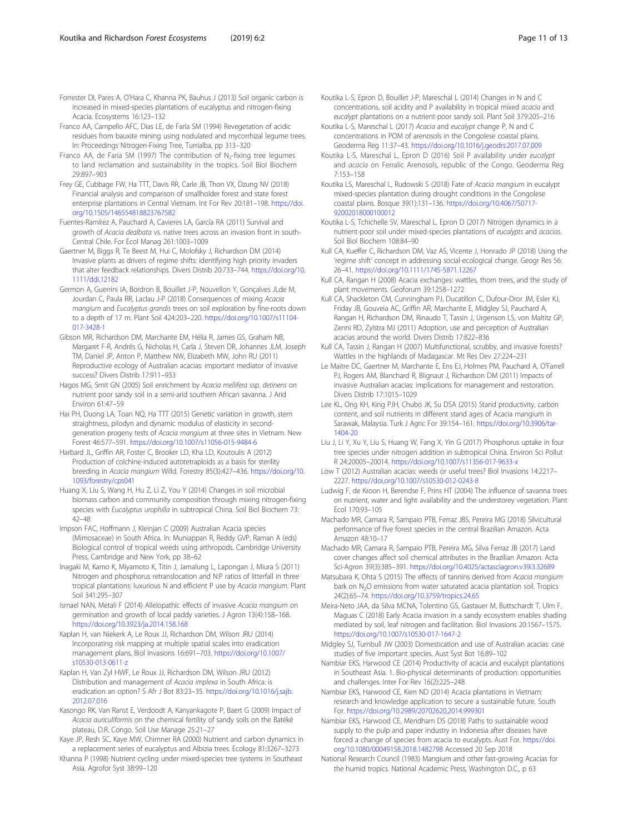- <span id="page-10-0"></span>Franco AA, Campello AFC, Dias LE, de Farla SM (1994) Revegetation of acidic residues from bauxite mining using nodulated and mycorrhizal legume trees. In: Proceedings Nitrogen-Fixing Tree, Turrialba, pp 313–320
- Franco AA, de Faria SM (1997) The contribution of  $N_2$ -fixing tree legumes to land reclamation and sustainability in the tropics. Soil Biol Biochem 29:897–903
- Frey GE, Cubbage FW, Ha TTT, Davis RR, Carle JB, Thon VX, Dzung NV (2018) Financial analysis and comparison of smallholder forest and state forest enterprise plantations in Central Vietnam. Int For Rev 20:181–198. https://doi. org/10.1505/146554818823767582
- Fuentes-Ramírez A, Pauchard A, Cavieres LA, García RA (2011) Survival and growth of Acacia dealbata vs. native trees across an invasion front in south-Central Chile. For Ecol Manag 261:1003–1009
- Gaertner M, Biggs R, Te Beest M, Hui C, Molofsky J, Richardson DM (2014) Invasive plants as drivers of regime shifts: identifying high priority invaders that alter feedback relationships. Divers Distrib 20:733–744. https://doi.org/10. 1111/ddi.12182
- Germon A, Guerrini IA, Bordron B, Bouillet J-P, Nouvellon Y, Gonçalves JLde M, Jourdan C, Paula RR, Laclau J-P (2018) Consequences of mixing Acacia mangium and Eucalyptus grandis trees on soil exploration by fine-roots down to a depth of 17 m. Plant Soil 424:203–220. https://doi.org/10.1007/s11104- 017-3428-1
- Gibson MR, Richardson DM, Marchante EM, Hélia R, James GS, Graham NB, Margaret F-R, Andrés G, Nicholas H, Carla J, Steven DR, Johannes JLM, Joseph TM, Daniel JP, Anton P, Matthew NW, Elizabeth MW, John RU (2011) Reproductive ecology of Australian acacias: important mediator of invasive success? Divers Distrib 17:911–933
- Hagos MG, Smit GN (2005) Soil enrichment by Acacia mellifera ssp. detinens on nutrient poor sandy soil in a semi-arid southern African savanna. J Arid Environ 61:47–59
- Hai PH, Duong LA, Toan NQ, Ha TTT (2015) Genetic variation in growth, stem straightness, pilodyn and dynamic modulus of elasticity in secondgeneration progeny tests of Acacia mangium at three sites in Vietnam. New Forest 46:577–591. https://doi.org/10.1007/s11056-015-9484-6
- Harbard JL, Griffin AR, Foster C, Brooker LD, Kha LD, Koutoulis A (2012) Production of colchine-induced autotetraploids as a basis for sterility breeding in Acacia mangium Willd. Forestry 85(3):427–436. https://doi.org/10. 1093/forestry/cps041
- Huang X, Liu S, Wang H, Hu Z, Li Z, You Y (2014) Changes in soil microbial biomass carbon and community composition through mixing nitrogen-fixing species with Eucalyptus urophilla in subtropical China. Soil Biol Biochem 73: 42–48
- Impson FAC, Hoffmann J, Kleinjan C (2009) Australian Acacia species (Mimosaceae) in South Africa. In: Muniappan R, Reddy GVP, Raman A (eds) Biological control of tropical weeds using arthropods. Cambridge University Press, Cambridge and New York, pp 38–62
- Inagaki M, Kamo K, Miyamoto K, Titin J, Jamalung L, Lapongan J, Miura S (2011) Nitrogen and phosphorus retranslocation and N:P ratios of litterfall in three tropical plantations: luxurious N and efficient P use by Acacia mangium. Plant Soil 341:295–307
- Ismael NAN, Metali F (2014) Allelopathic effects of invasive Acacia mangium on germination and growth of local paddy varieties. J Agron 13(4):158–168. https://doi.org/10.3923/ja.2014.158.168
- Kaplan H, van Niekerk A, Le Roux JJ, Richardson DM, Wilson JRU (2014) Incorporating risk mapping at multiple spatial scales into eradication management plans. Biol Invasions 16:691–703. https://doi.org/10.1007/ s10530-013-0611-z
- Kaplan H, Van Zyl HWF, Le Roux JJ, Richardson DM, Wilson JRU (2012) Distribution and management of Acacia implexa in South Africa: is eradication an option? S Afr J Bot 83:23–35. https://doi.org/10.1016/j.sajb. 2012.07.016
- Kasongo RK, Van Ranst E, Verdoodt A, Kanyankagote P, Baert G (2009) Impact of Acacia auriculiformis on the chemical fertility of sandy soils on the Batéké plateau, D.R. Congo. Soil Use Manage 25:21–27
- Kaye JP, Resh SC, Kaye MW, Chimner RA (2000) Nutrient and carbon dynamics in a replacement series of eucalyptus and Albizia trees. Ecology 81:3267–3273
- Khanna P (1998) Nutrient cycling under mixed-species tree systems in Southeast Asia. Agrofor Syst 38:99–120
- Koutika L-S, Epron D, Bouillet J-P, Mareschal L (2014) Changes in N and C concentrations, soil acidity and P availability in tropical mixed acacia and eucalypt plantations on a nutrient-poor sandy soil. Plant Soil 379:205–216
- Koutika L-S, Mareschal L (2017) Acacia and eucalypt change P, N and C concentrations in POM of arenosols in the Congolese coastal plains. Geoderma Reg 11:37–43. https://doi.org/10.1016/j.geodrs.2017.07.009
- Koutika L-S, Mareschal L, Epron D (2016) Soil P availability under eucalypt and acacia on Ferralic Arenosols, republic of the Congo. Geoderma Reg 7:153–158
- Koutika LS, Mareschal L, Rudowski S (2018) Fate of Acacia mangium in eucalypt mixed-species plantation during drought conditions in the Congolese coastal plains. Bosque 39(1):131–136. https://doi.org/10.4067/S0717- 92002018000100012
- Koutika L-S, Tchichelle SV, Mareschal L, Epron D (2017) Nitrogen dynamics in a nutrient-poor soil under mixed-species plantations of eucalypts and acacias. Soil Biol Biochem 108:84–90
- Kull CA, Kueffer C, Richardson DM, Vaz AS, Vicente J, Honrado JP (2018) Using the 'regime shift' concept in addressing social-ecological change. Geogr Res 56: 26–41. https://doi.org/10.1111/1745-5871.12267
- Kull CA, Rangan H (2008) Acacia exchanges: wattles, thorn trees, and the study of plant movements. Geoforum 39:1258–1272
- Kull CA, Shackleton CM, Cunningham PJ, Ducatillon C, Dufour-Dror JM, Esler KJ, Friday JB, Gouveia AC, Griffin AR, Marchante E, Midgley SJ, Pauchard A, Rangan H, Richardson DM, Rinaudo T, Tassin J, Urgenson LS, von Maltitz GP, Zenni RD, Zylstra MJ (2011) Adoption, use and perception of Australian acacias around the world. Divers Distrib 17:822–836
- Kull CA, Tassin J, Rangan H (2007) Multifunctional, scrubby, and invasive forests? Wattles in the highlands of Madagascar. Mt Res Dev 27:224–231
- Le Maitre DC, Gaertner M, Marchante E, Ens EJ, Holmes PM, Pauchard A, O'Farrell PJ, Rogers AM, Blanchard R, Blignaut J, Richardson DM (2011) Impacts of invasive Australian acacias: implications for management and restoration. Divers Distrib 17:1015–1029
- Lee KL, Ong KH, King PJH, Chubo JK, Su DSA (2015) Stand productivity, carbon content, and soil nutrients in different stand ages of Acacia mangium in Sarawak, Malaysia. Turk J Agric For 39:154–161. https://doi.org/10.3906/tar-1404-20
- Liu J, Li Y, Xu Y, Liu S, Huang W, Fang X, Yin G (2017) Phosphorus uptake in four tree species under nitrogen addition in subtropical China. Environ Sci Pollut R 24:20005–20014. https://doi.org/10.1007/s11356-017-9633-x
- Low T (2012) Australian acacias: weeds or useful trees? Biol Invasions 14:2217– 2227. https://doi.org/10.1007/s10530-012-0243-8
- Ludwig F, de Kroon H, Berendse F, Prins HT (2004) The influence of savanna trees on nutrient, water and light availability and the understorey vegetation. Plant Ecol 170:93–105
- Machado MR, Camara R, Sampaio PTB, Ferraz JBS, Pereira MG (2018) Silvicultural performance of five forest species in the central Brazilian Amazon. Acta Amazon 48:10–17
- Machado MR, Camara R, Sampaio PTB, Pereira MG, Silva Ferraz JB (2017) Land cover changes affect soil chemical attributes in the Brazilian Amazon. Acta Sci-Agron 39(3):385–391. https://doi.org/10.4025/actasciagron.v39i3.32689
- Matsubara K, Ohta S (2015) The effects of tannins derived from Acacia mangium bark on N2O emissions from water saturated acacia plantation soil. Tropics 24(2):65–74. https://doi.org/10.3759/tropics.24.65
- Meira-Neto JAA, da Silva MCNA, Tolentino GS, Gastauer M, Buttschardt T, Ulm F, Maguas C (2018) Early Acacia invasion in a sandy ecosystem enables shading mediated by soil, leaf nitrogen and facilitation. Biol Invasions 20:1567–1575. https://doi.org/10.1007/s10530-017-1647-2
- Midgley SJ, Turnbull JW (2003) Domestication and use of Australian acacias: case studies of five important species. Aust Syst Bot 16:89–102
- Nambiar EKS, Harwood CE (2014) Productivity of acacia and eucalypt plantations in Southeast Asia. 1. Bio-physical determinants of production: opportunities and challenges. Inter For Rev 16(2):225–248
- Nambiar EKS, Harwood CE, Kien ND (2014) Acacia plantations in Vietnam: research and knowledge application to secure a sustainable future. South For. https://doi.org/10.2989/20702620.2014.999301
- Nambiar EKS, Harwood CE, Mendham DS (2018) Paths to sustainable wood supply to the pulp and paper industry in Indonesia after diseases have forced a change of species from acacia to eucalypts. Aust For. https://doi. org/10.1080/00049158.2018.1482798 Accessed 20 Sep 2018
- National Research Council (1983) Mangium and other fast-growing Acacias for the humid tropics. National Academic Press, Washington D.C., p 63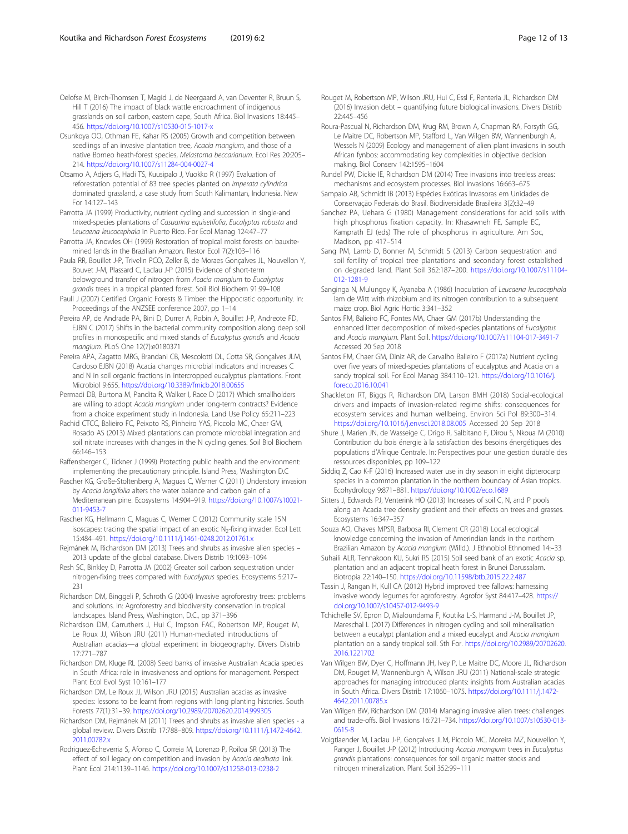- <span id="page-11-0"></span>Osunkoya OO, Othman FE, Kahar RS (2005) Growth and competition between seedlings of an invasive plantation tree, Acacia mangium, and those of a native Borneo heath-forest species, Melastoma beccarianum. Ecol Res 20:205– 214. https://doi.org/10.1007/s11284-004-0027-4
- Otsamo A, Adjers G, Hadi TS, Kuusipalo J, Vuokko R (1997) Evaluation of reforestation potential of 83 tree species planted on Imperata cylindrica dominated grassland, a case study from South Kalimantan, Indonesia. New For 14:127–143
- Parrotta JA (1999) Productivity, nutrient cycling and succession in single-and mixed-species plantations of Casuarina equisetifolia, Eucalyptus robusta and Leucaena leucocephala in Puerto Rico. For Ecol Manag 124:47–77
- Parrotta JA, Knowles OH (1999) Restoration of tropical moist forests on bauxitemined lands in the Brazilian Amazon. Restor Ecol 7(2):103–116
- Paula RR, Bouillet J-P, Trivelin PCO, Zeller B, de Moraes Gonçalves JL, Nouvellon Y, Bouvet J-M, Plassard C, Laclau J-P (2015) Evidence of short-term belowground transfer of nitrogen from Acacia mangium to Eucalyptus grandis trees in a tropical planted forest. Soil Biol Biochem 91:99–108
- Paull J (2007) Certified Organic Forests & Timber: the Hippocratic opportunity. In: Proceedings of the ANZSEE conference 2007, pp 1–14
- Pereira AP, de Andrade PA, Bini D, Durrer A, Robin A, Bouillet J-P, Andreote FD, EJBN C (2017) Shifts in the bacterial community composition along deep soil profiles in monospecific and mixed stands of Eucalyptus grandis and Acacia mangium. PLoS One 12(7):e0180371
- Pereira APA, Zagatto MRG, Brandani CB, Mescolotti DL, Cotta SR, Gonçalves JLM, Cardoso EJBN (2018) Acacia changes microbial indicators and increases C and N in soil organic fractions in intercropped eucalyptus plantations. Front Microbiol 9:655. https://doi.org/10.3389/fmicb.2018.00655
- Permadi DB, Burtona M, Pandita R, Walker I, Race D (2017) Which smallholders are willing to adopt Acacia mangium under long-term contracts? Evidence from a choice experiment study in Indonesia. Land Use Policy 65:211–223
- Rachid CTCC, Balieiro FC, Peixoto RS, Pinheiro YAS, Piccolo MC, Chaer GM, Rosado AS (2013) Mixed plantations can promote microbial integration and soil nitrate increases with changes in the N cycling genes. Soil Biol Biochem 66:146–153
- Raffensberger C, Tickner J (1999) Protecting public health and the environment: implementing the precautionary principle. Island Press, Washington D.C
- Rascher KG, Große-Stoltenberg A, Maguas C, Werner C (2011) Understory invasion by Acacia longifolia alters the water balance and carbon gain of a Mediterranean pine. Ecosystems 14:904–919. https://doi.org/10.1007/s10021- 011-9453-7
- Rascher KG, Hellmann C, Maguas C, Werner C (2012) Community scale 15N isoscapes: tracing the spatial impact of an exotic N<sub>2</sub>-fixing invader. Ecol Lett 15:484–491. https://doi.org/10.1111/j.1461-0248.2012.01761.x
- Rejmánek M, Richardson DM (2013) Trees and shrubs as invasive alien species 2013 update of the global database. Divers Distrib 19:1093–1094
- Resh SC, Binkley D, Parrotta JA (2002) Greater soil carbon sequestration under nitrogen-fixing trees compared with Eucalyptus species. Ecosystems 5:217– 231
- Richardson DM, Binggeli P, Schroth G (2004) Invasive agroforestry trees: problems and solutions. In: Agroforestry and biodiversity conservation in tropical landscapes. Island Press, Washington, D.C., pp 371–396
- Richardson DM, Carruthers J, Hui C, Impson FAC, Robertson MP, Rouget M, Le Roux JJ, Wilson JRU (2011) Human-mediated introductions of Australian acacias—a global experiment in biogeography. Divers Distrib 17:771–787
- Richardson DM, Kluge RL (2008) Seed banks of invasive Australian Acacia species in South Africa: role in invasiveness and options for management. Perspect Plant Ecol Evol Syst 10:161–177
- Richardson DM, Le Roux JJ, Wilson JRU (2015) Australian acacias as invasive species: lessons to be learnt from regions with long planting histories. South Forests 77(1):31–39. https://doi.org/10.2989/20702620.2014.999305
- Richardson DM, Rejmánek M (2011) Trees and shrubs as invasive alien species a global review. Divers Distrib 17:788–809. https://doi.org/10.1111/j.1472-4642. 2011.00782.x
- Rodriguez-Echeverria S, Afonso C, Correia M, Lorenzo P, Roiloa SR (2013) The effect of soil legacy on competition and invasion by Acacia dealbata link. Plant Ecol 214:1139–1146. https://doi.org/10.1007/s11258-013-0238-2
- Rouget M, Robertson MP, Wilson JRU, Hui C, Essl F, Renteria JL, Richardson DM (2016) Invasion debt – quantifying future biological invasions. Divers Distrib 22:445–456
- Roura-Pascual N, Richardson DM, Krug RM, Brown A, Chapman RA, Forsyth GG, Le Maitre DC, Robertson MP, Stafford L, Van Wilgen BW, Wannenburgh A, Wessels N (2009) Ecology and management of alien plant invasions in south African fynbos: accommodating key complexities in objective decision making. Biol Conserv 142:1595–1604
- Rundel PW, Dickie IE, Richardson DM (2014) Tree invasions into treeless areas: mechanisms and ecosystem processes. Biol Invasions 16:663–675
- Sampaio AB, Schmidt IB (2013) Espécies Exóticas Invasoras em Unidades de Conservação Federais do Brasil. Biodiversidade Brasileira 3(2):32–49
- Sanchez PA, Uehara G (1980) Management considerations for acid soils with high phosphorus fixation capacity. In: Khasawneh FE, Sample EC, Kamprath EJ (eds) The role of phosphorus in agriculture. Am Soc, Madison, pp 417–514
- Sang PM, Lamb D, Bonner M, Schmidt S (2013) Carbon sequestration and soil fertility of tropical tree plantations and secondary forest established on degraded land. Plant Soil 362:187–200. https://doi.org/10.1007/s11104- 012-1281-9
- Sanginga N, Mulungoy K, Ayanaba A (1986) Inoculation of Leucaena leucocephala lam de Witt with rhizobium and its nitrogen contribution to a subsequent maize crop. Biol Agric Hortic 3:341–352
- Santos FM, Balieiro FC, Fontes MA, Chaer GM (2017b) Understanding the enhanced litter decomposition of mixed-species plantations of Eucalyptus and Acacia mangium. Plant Soil. https://doi.org/10.1007/s11104-017-3491-7 Accessed 20 Sep 2018
- Santos FM, Chaer GM, Diniz AR, de Carvalho Balieiro F (2017a) Nutrient cycling over five years of mixed-species plantations of eucalyptus and Acacia on a sandy tropical soil. For Ecol Manag 384:110-121. https://doi.org/10.1016/j. foreco.2016.10.041
- Shackleton RT, Biggs R, Richardson DM, Larson BMH (2018) Social-ecological drivers and impacts of invasion-related regime shifts: consequences for ecosystem services and human wellbeing. Environ Sci Pol 89:300–314. https://doi.org/10.1016/j.envsci.2018.08.005 Accessed 20 Sep 2018
- Shure J, Marien JN, de Wasseige C, Drigo R, Salbitano F, Dirou S, Nkoua M (2010) Contribution du bois énergie à la satisfaction des besoins énergétiques des populations d'Afrique Centrale. In: Perspectives pour une gestion durable des ressources disponibles, pp 109–122
- Siddiq Z, Cao K-F (2016) Increased water use in dry season in eight dipterocarp species in a common plantation in the northern boundary of Asian tropics. Ecohydrology 9:871–881. https://doi.org/10.1002/eco.1689
- Sitters J, Edwards PJ, Venterink HO (2013) Increases of soil C, N, and P pools along an Acacia tree density gradient and their effects on trees and grasses. Ecosystems 16:347–357
- Souza AO, Chaves MPSR, Barbosa RI, Clement CR (2018) Local ecological knowledge concerning the invasion of Amerindian lands in the northern Brazilian Amazon by Acacia mangium (Willd.). J Ethnobiol Ethnomed 14:–33
- Suhaili ALR, Tennakoon KU, Sukri RS (2015) Soil seed bank of an exotic Acacia sp. plantation and an adjacent tropical heath forest in Brunei Darussalam. Biotropia 22:140–150. https://doi.org/10.11598/btb.2015.22.2.487
- Tassin J, Rangan H, Kull CA (2012) Hybrid improved tree fallows: harnessing invasive woody legumes for agroforestry. Agrofor Syst 84:417–428. https:// doi.org/10.1007/s10457-012-9493-9
- Tchichelle SV, Epron D, Mialoundama F, Koutika L-S, Harmand J-M, Bouillet JP, Mareschal L (2017) Differences in nitrogen cycling and soil mineralisation between a eucalypt plantation and a mixed eucalypt and Acacia mangium plantation on a sandy tropical soil. Sth For. https://doi.org/10.2989/20702620. 2016.1221702
- Van Wilgen BW, Dyer C, Hoffmann JH, Ivey P, Le Maitre DC, Moore JL, Richardson DM, Rouget M, Wannenburgh A, Wilson JRU (2011) National-scale strategic approaches for managing introduced plants: insights from Australian acacias in South Africa. Divers Distrib 17:1060–1075. https://doi.org/10.1111/j.1472- 4642.2011.00785.x
- Van Wilgen BW, Richardson DM (2014) Managing invasive alien trees: challenges and trade-offs. Biol Invasions 16:721–734. https://doi.org/10.1007/s10530-013- 0615-8
- Voigtlaender M, Laclau J-P, Gonçalves JLM, Piccolo MC, Moreira MZ, Nouvellon Y, Ranger J, Bouillet J-P (2012) Introducing Acacia mangium trees in Eucalyptus grandis plantations: consequences for soil organic matter stocks and nitrogen mineralization. Plant Soil 352:99–111